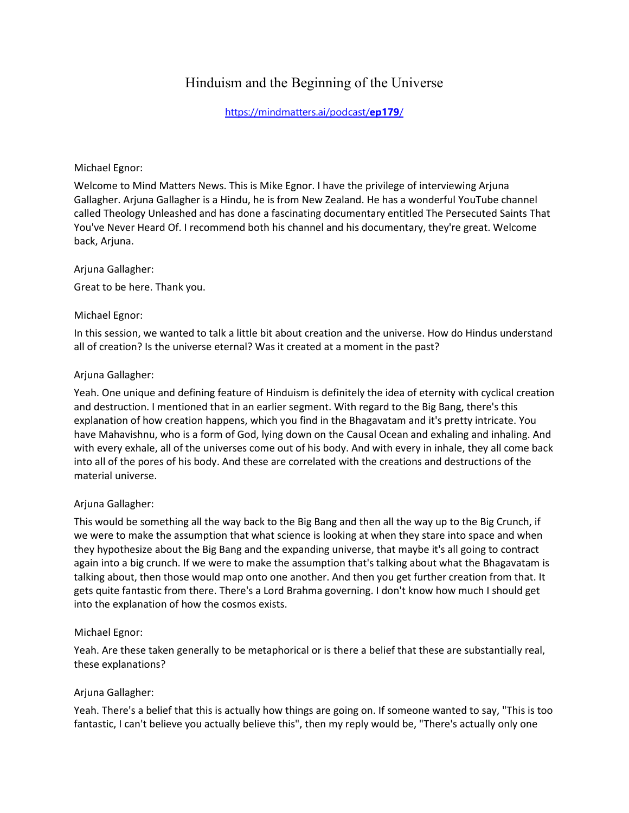# Hinduism and the Beginning of the Universe

[https://mindmatters.ai/podcast/](https://mindmatters.ai/podcast/ep179/)**ep179**/

#### Michael Egnor:

Welcome to Mind Matters News. This is Mike Egnor. I have the privilege of interviewing Arjuna Gallagher. Arjuna Gallagher is a Hindu, he is from New Zealand. He has a wonderful YouTube channel called Theology Unleashed and has done a fascinating documentary entitled The Persecuted Saints That You've Never Heard Of. I recommend both his channel and his documentary, they're great. Welcome back, Arjuna.

#### Arjuna Gallagher:

Great to be here. Thank you.

# Michael Egnor:

In this session, we wanted to talk a little bit about creation and the universe. How do Hindus understand all of creation? Is the universe eternal? Was it created at a moment in the past?

#### Arjuna Gallagher:

Yeah. One unique and defining feature of Hinduism is definitely the idea of eternity with cyclical creation and destruction. I mentioned that in an earlier segment. With regard to the Big Bang, there's this explanation of how creation happens, which you find in the Bhagavatam and it's pretty intricate. You have Mahavishnu, who is a form of God, lying down on the Causal Ocean and exhaling and inhaling. And with every exhale, all of the universes come out of his body. And with every in inhale, they all come back into all of the pores of his body. And these are correlated with the creations and destructions of the material universe.

# Arjuna Gallagher:

This would be something all the way back to the Big Bang and then all the way up to the Big Crunch, if we were to make the assumption that what science is looking at when they stare into space and when they hypothesize about the Big Bang and the expanding universe, that maybe it's all going to contract again into a big crunch. If we were to make the assumption that's talking about what the Bhagavatam is talking about, then those would map onto one another. And then you get further creation from that. It gets quite fantastic from there. There's a Lord Brahma governing. I don't know how much I should get into the explanation of how the cosmos exists.

# Michael Egnor:

Yeah. Are these taken generally to be metaphorical or is there a belief that these are substantially real, these explanations?

# Arjuna Gallagher:

Yeah. There's a belief that this is actually how things are going on. If someone wanted to say, "This is too fantastic, I can't believe you actually believe this", then my reply would be, "There's actually only one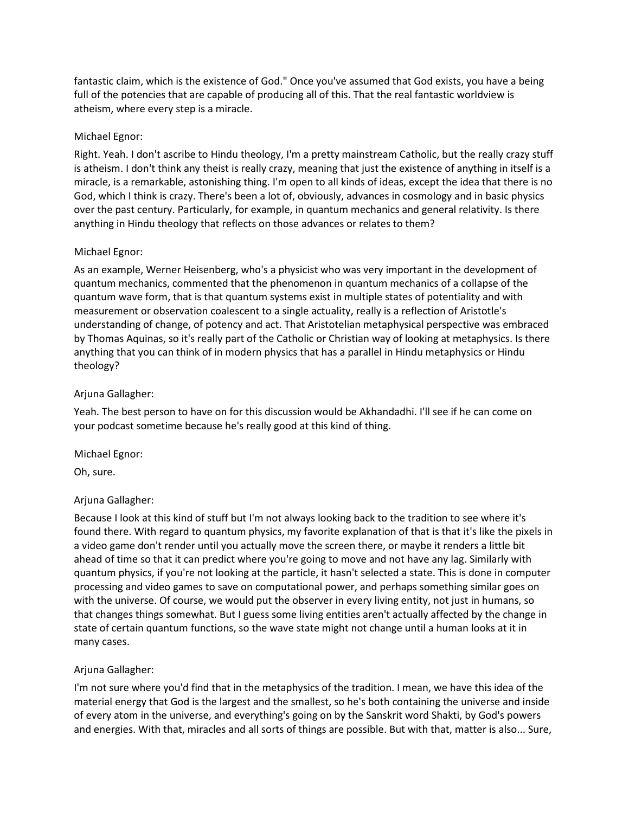fantastic claim, which is the existence of God." Once you've assumed that God exists, you have a being full of the potencies that are capable of producing all of this. That the real fantastic worldview is atheism, where every step is a miracle.

# Michael Egnor:

Right. Yeah. I don't ascribe to Hindu theology, I'm a pretty mainstream Catholic, but the really crazy stuff is atheism. I don't think any theist is really crazy, meaning that just the existence of anything in itself is a miracle, is a remarkable, astonishing thing. I'm open to all kinds of ideas, except the idea that there is no God, which I think is crazy. There's been a lot of, obviously, advances in cosmology and in basic physics over the past century. Particularly, for example, in quantum mechanics and general relativity. Is there anything in Hindu theology that reflects on those advances or relates to them?

#### Michael Egnor:

As an example, Werner Heisenberg, who's a physicist who was very important in the development of quantum mechanics, commented that the phenomenon in quantum mechanics of a collapse of the quantum wave form, that is that quantum systems exist in multiple states of potentiality and with measurement or observation coalescent to a single actuality, really is a reflection of Aristotle's understanding of change, of potency and act. That Aristotelian metaphysical perspective was embraced by Thomas Aquinas, so it's really part of the Catholic or Christian way of looking at metaphysics. Is there anything that you can think of in modern physics that has a parallel in Hindu metaphysics or Hindu theology?

#### Arjuna Gallagher:

Yeah. The best person to have on for this discussion would be Akhandadhi. I'll see if he can come on your podcast sometime because he's really good at this kind of thing.

# Michael Egnor:

Oh, sure.

# Arjuna Gallagher:

Because I look at this kind of stuff but I'm not always looking back to the tradition to see where it's found there. With regard to quantum physics, my favorite explanation of that is that it's like the pixels in a video game don't render until you actually move the screen there, or maybe it renders a little bit ahead of time so that it can predict where you're going to move and not have any lag. Similarly with quantum physics, if you're not looking at the particle, it hasn't selected a state. This is done in computer processing and video games to save on computational power, and perhaps something similar goes on with the universe. Of course, we would put the observer in every living entity, not just in humans, so that changes things somewhat. But I guess some living entities aren't actually affected by the change in state of certain quantum functions, so the wave state might not change until a human looks at it in many cases.

# Arjuna Gallagher:

I'm not sure where you'd find that in the metaphysics of the tradition. I mean, we have this idea of the material energy that God is the largest and the smallest, so he's both containing the universe and inside of every atom in the universe, and everything's going on by the Sanskrit word Shakti, by God's powers and energies. With that, miracles and all sorts of things are possible. But with that, matter is also... Sure,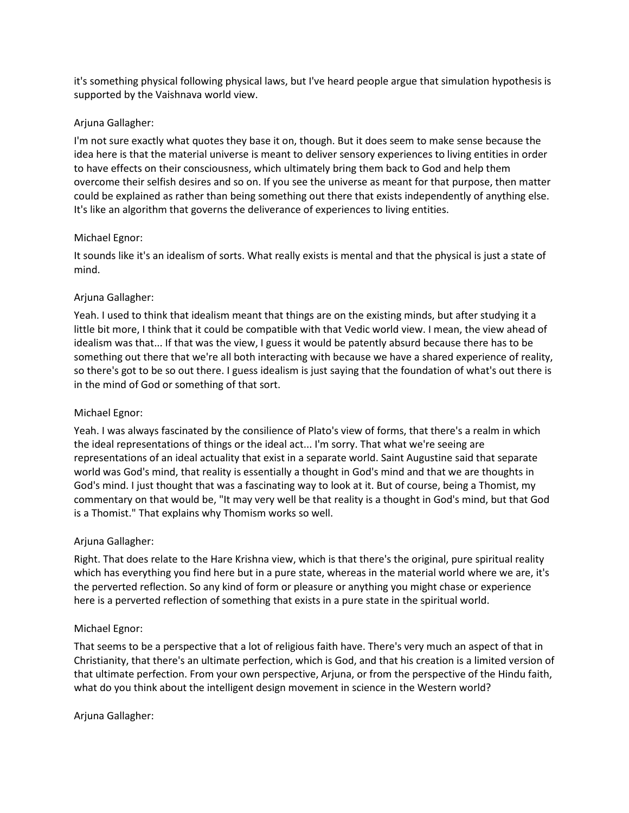it's something physical following physical laws, but I've heard people argue that simulation hypothesis is supported by the Vaishnava world view.

# Arjuna Gallagher:

I'm not sure exactly what quotes they base it on, though. But it does seem to make sense because the idea here is that the material universe is meant to deliver sensory experiences to living entities in order to have effects on their consciousness, which ultimately bring them back to God and help them overcome their selfish desires and so on. If you see the universe as meant for that purpose, then matter could be explained as rather than being something out there that exists independently of anything else. It's like an algorithm that governs the deliverance of experiences to living entities.

# Michael Egnor:

It sounds like it's an idealism of sorts. What really exists is mental and that the physical is just a state of mind.

# Arjuna Gallagher:

Yeah. I used to think that idealism meant that things are on the existing minds, but after studying it a little bit more, I think that it could be compatible with that Vedic world view. I mean, the view ahead of idealism was that... If that was the view, I guess it would be patently absurd because there has to be something out there that we're all both interacting with because we have a shared experience of reality, so there's got to be so out there. I guess idealism is just saying that the foundation of what's out there is in the mind of God or something of that sort.

# Michael Egnor:

Yeah. I was always fascinated by the consilience of Plato's view of forms, that there's a realm in which the ideal representations of things or the ideal act... I'm sorry. That what we're seeing are representations of an ideal actuality that exist in a separate world. Saint Augustine said that separate world was God's mind, that reality is essentially a thought in God's mind and that we are thoughts in God's mind. I just thought that was a fascinating way to look at it. But of course, being a Thomist, my commentary on that would be, "It may very well be that reality is a thought in God's mind, but that God is a Thomist." That explains why Thomism works so well.

# Arjuna Gallagher:

Right. That does relate to the Hare Krishna view, which is that there's the original, pure spiritual reality which has everything you find here but in a pure state, whereas in the material world where we are, it's the perverted reflection. So any kind of form or pleasure or anything you might chase or experience here is a perverted reflection of something that exists in a pure state in the spiritual world.

# Michael Egnor:

That seems to be a perspective that a lot of religious faith have. There's very much an aspect of that in Christianity, that there's an ultimate perfection, which is God, and that his creation is a limited version of that ultimate perfection. From your own perspective, Arjuna, or from the perspective of the Hindu faith, what do you think about the intelligent design movement in science in the Western world?

Arjuna Gallagher: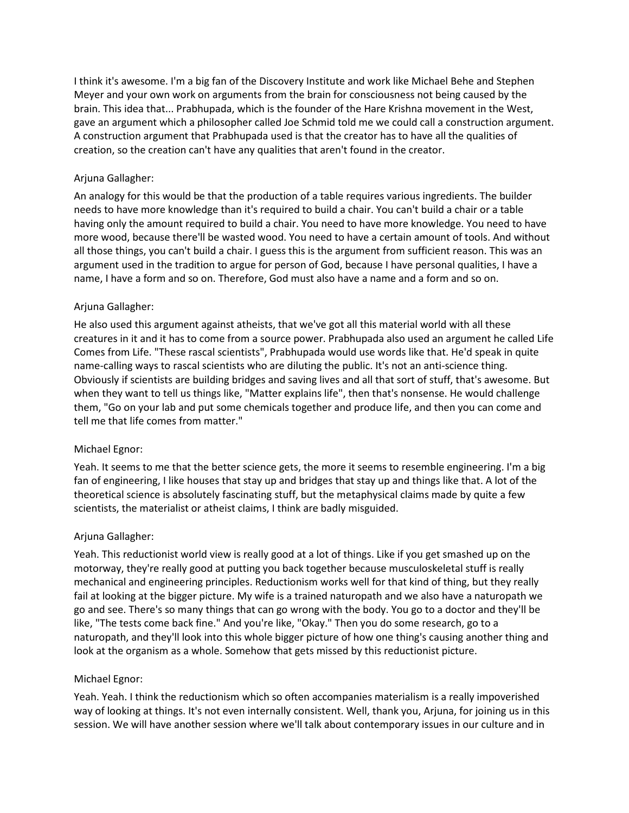I think it's awesome. I'm a big fan of the Discovery Institute and work like Michael Behe and Stephen Meyer and your own work on arguments from the brain for consciousness not being caused by the brain. This idea that... Prabhupada, which is the founder of the Hare Krishna movement in the West, gave an argument which a philosopher called Joe Schmid told me we could call a construction argument. A construction argument that Prabhupada used is that the creator has to have all the qualities of creation, so the creation can't have any qualities that aren't found in the creator.

# Arjuna Gallagher:

An analogy for this would be that the production of a table requires various ingredients. The builder needs to have more knowledge than it's required to build a chair. You can't build a chair or a table having only the amount required to build a chair. You need to have more knowledge. You need to have more wood, because there'll be wasted wood. You need to have a certain amount of tools. And without all those things, you can't build a chair. I guess this is the argument from sufficient reason. This was an argument used in the tradition to argue for person of God, because I have personal qualities, I have a name, I have a form and so on. Therefore, God must also have a name and a form and so on.

# Arjuna Gallagher:

He also used this argument against atheists, that we've got all this material world with all these creatures in it and it has to come from a source power. Prabhupada also used an argument he called Life Comes from Life. "These rascal scientists", Prabhupada would use words like that. He'd speak in quite name-calling ways to rascal scientists who are diluting the public. It's not an anti-science thing. Obviously if scientists are building bridges and saving lives and all that sort of stuff, that's awesome. But when they want to tell us things like, "Matter explains life", then that's nonsense. He would challenge them, "Go on your lab and put some chemicals together and produce life, and then you can come and tell me that life comes from matter."

# Michael Egnor:

Yeah. It seems to me that the better science gets, the more it seems to resemble engineering. I'm a big fan of engineering, I like houses that stay up and bridges that stay up and things like that. A lot of the theoretical science is absolutely fascinating stuff, but the metaphysical claims made by quite a few scientists, the materialist or atheist claims, I think are badly misguided.

# Arjuna Gallagher:

Yeah. This reductionist world view is really good at a lot of things. Like if you get smashed up on the motorway, they're really good at putting you back together because musculoskeletal stuff is really mechanical and engineering principles. Reductionism works well for that kind of thing, but they really fail at looking at the bigger picture. My wife is a trained naturopath and we also have a naturopath we go and see. There's so many things that can go wrong with the body. You go to a doctor and they'll be like, "The tests come back fine." And you're like, "Okay." Then you do some research, go to a naturopath, and they'll look into this whole bigger picture of how one thing's causing another thing and look at the organism as a whole. Somehow that gets missed by this reductionist picture.

# Michael Egnor:

Yeah. Yeah. I think the reductionism which so often accompanies materialism is a really impoverished way of looking at things. It's not even internally consistent. Well, thank you, Arjuna, for joining us in this session. We will have another session where we'll talk about contemporary issues in our culture and in